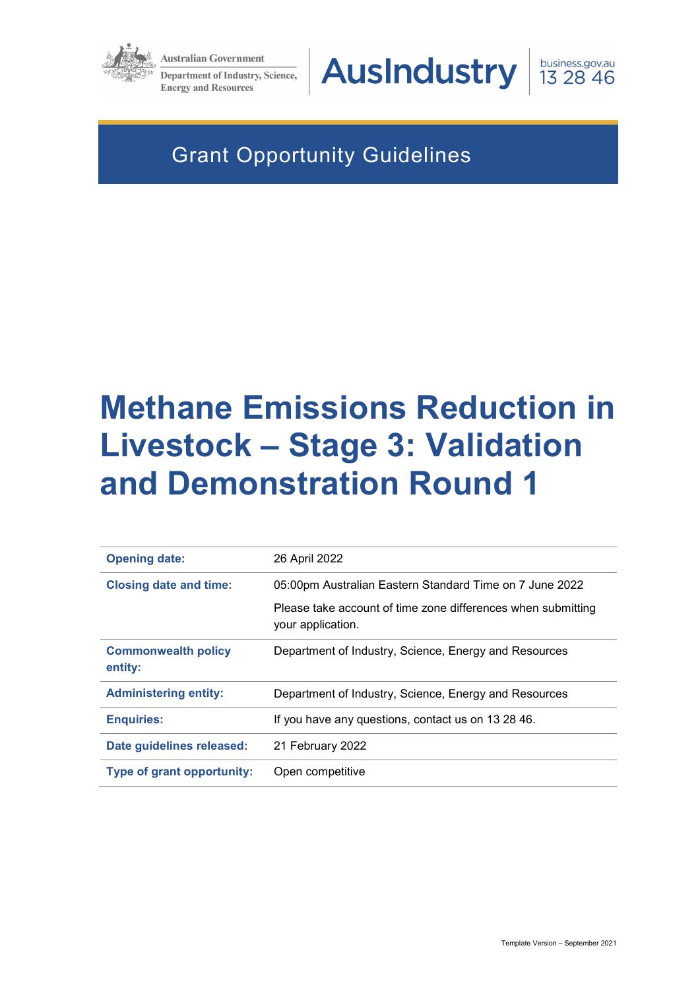

**Australian Government** 

**Department of Industry, Science, Energy and Resources** 



business.gov.au<br>13 28 46

# Grant Opportunity Guidelines

# Methane Emissions Reduction in Livestock – Stage 3: Validation and Demonstration Round 1

| <b>Opening date:</b>                  | 26 April 2022                                                                     |
|---------------------------------------|-----------------------------------------------------------------------------------|
| <b>Closing date and time:</b>         | 05:00pm Australian Eastern Standard Time on 7 June 2022                           |
|                                       | Please take account of time zone differences when submitting<br>your application. |
| <b>Commonwealth policy</b><br>entity: | Department of Industry, Science, Energy and Resources                             |
| <b>Administering entity:</b>          | Department of Industry, Science, Energy and Resources                             |
| <b>Enquiries:</b>                     | If you have any questions, contact us on 13 28 46.                                |
| Date guidelines released:             | 21 February 2022                                                                  |
| Type of grant opportunity:            | Open competitive                                                                  |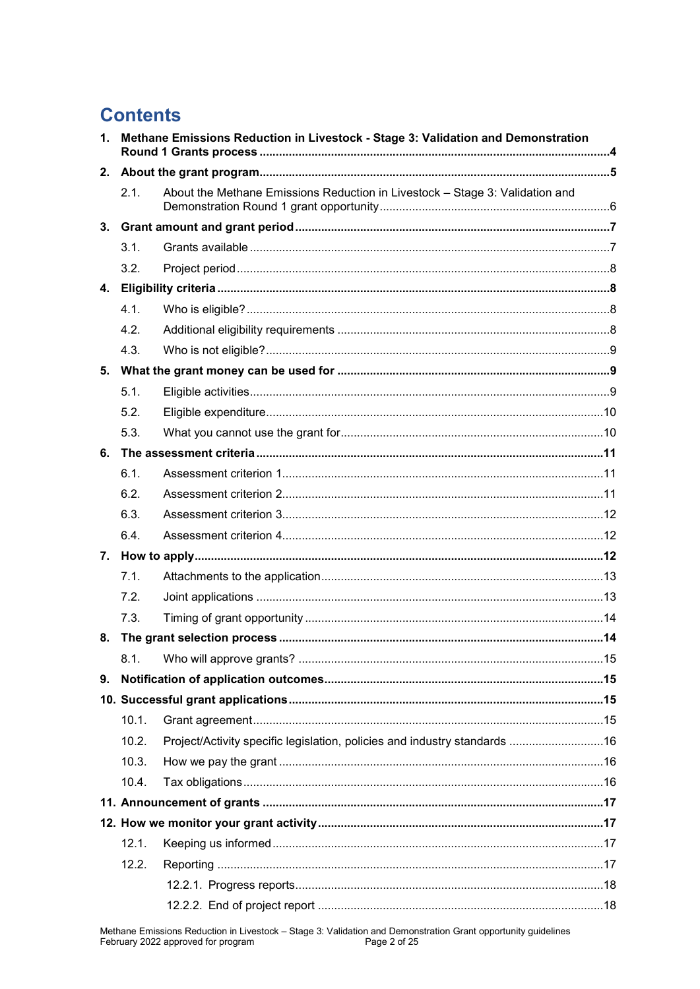# **Contents**

| 1. | Methane Emissions Reduction in Livestock - Stage 3: Validation and Demonstration |                                                                              |  |  |
|----|----------------------------------------------------------------------------------|------------------------------------------------------------------------------|--|--|
| 2. |                                                                                  |                                                                              |  |  |
|    | 2.1.                                                                             | About the Methane Emissions Reduction in Livestock - Stage 3: Validation and |  |  |
| 3. |                                                                                  |                                                                              |  |  |
|    | 3.1.                                                                             |                                                                              |  |  |
|    | 3.2.                                                                             |                                                                              |  |  |
|    |                                                                                  |                                                                              |  |  |
|    | 4.1.                                                                             |                                                                              |  |  |
|    | 4.2.                                                                             |                                                                              |  |  |
|    | 4.3.                                                                             |                                                                              |  |  |
|    |                                                                                  |                                                                              |  |  |
|    | 5.1.                                                                             |                                                                              |  |  |
|    | 5.2.                                                                             |                                                                              |  |  |
|    | 5.3.                                                                             |                                                                              |  |  |
| 6. |                                                                                  |                                                                              |  |  |
|    | 6.1.                                                                             |                                                                              |  |  |
|    | 6.2.                                                                             |                                                                              |  |  |
|    | 6.3.                                                                             |                                                                              |  |  |
|    | 6.4.                                                                             |                                                                              |  |  |
|    |                                                                                  |                                                                              |  |  |
|    | 7.1.                                                                             |                                                                              |  |  |
|    | 7.2.                                                                             |                                                                              |  |  |
|    | 7.3.                                                                             |                                                                              |  |  |
| 8. |                                                                                  |                                                                              |  |  |
|    |                                                                                  |                                                                              |  |  |
| 9. |                                                                                  |                                                                              |  |  |
|    |                                                                                  |                                                                              |  |  |
|    | 10.1.                                                                            |                                                                              |  |  |
|    | 10.2.                                                                            | Project/Activity specific legislation, policies and industry standards  16   |  |  |
|    | 10.3.                                                                            |                                                                              |  |  |
|    | 10.4.                                                                            |                                                                              |  |  |
|    |                                                                                  |                                                                              |  |  |
|    |                                                                                  |                                                                              |  |  |
|    | 12.1.                                                                            |                                                                              |  |  |
|    | 12.2.                                                                            |                                                                              |  |  |
|    |                                                                                  |                                                                              |  |  |
|    |                                                                                  |                                                                              |  |  |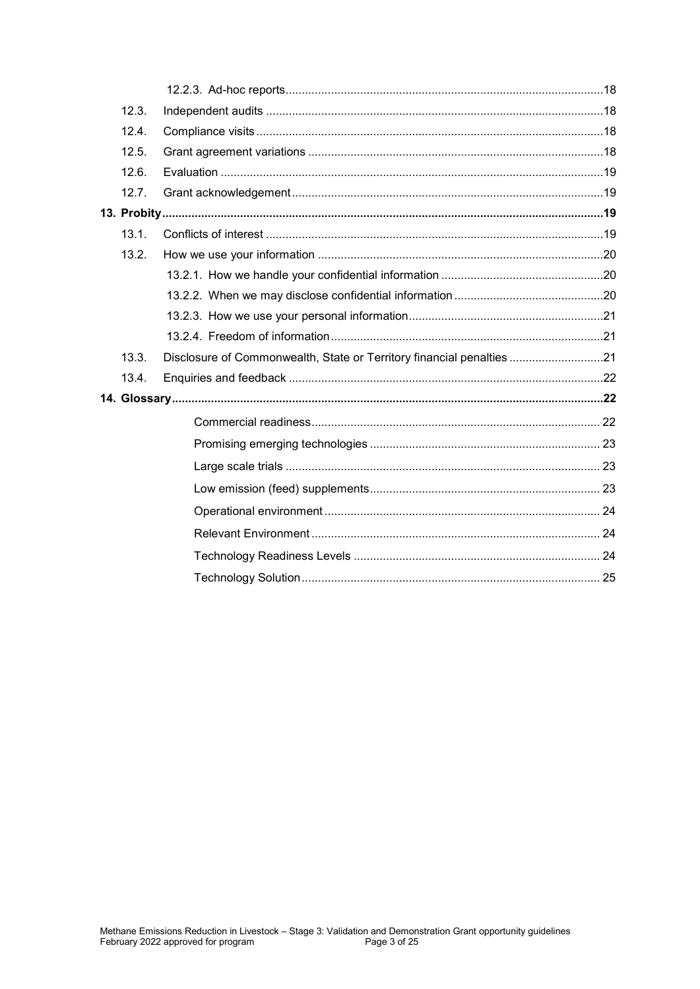| 12.3. |                                                                      |  |  |  |
|-------|----------------------------------------------------------------------|--|--|--|
| 12.4. |                                                                      |  |  |  |
| 12.5. |                                                                      |  |  |  |
| 12.6. |                                                                      |  |  |  |
| 12.7. |                                                                      |  |  |  |
|       |                                                                      |  |  |  |
| 13.1. |                                                                      |  |  |  |
| 13.2. |                                                                      |  |  |  |
|       |                                                                      |  |  |  |
|       |                                                                      |  |  |  |
|       |                                                                      |  |  |  |
|       |                                                                      |  |  |  |
| 13.3. | Disclosure of Commonwealth, State or Territory financial penalties21 |  |  |  |
| 13.4. |                                                                      |  |  |  |
|       |                                                                      |  |  |  |
|       |                                                                      |  |  |  |
|       |                                                                      |  |  |  |
|       |                                                                      |  |  |  |
|       |                                                                      |  |  |  |
|       |                                                                      |  |  |  |
|       |                                                                      |  |  |  |
|       |                                                                      |  |  |  |
|       |                                                                      |  |  |  |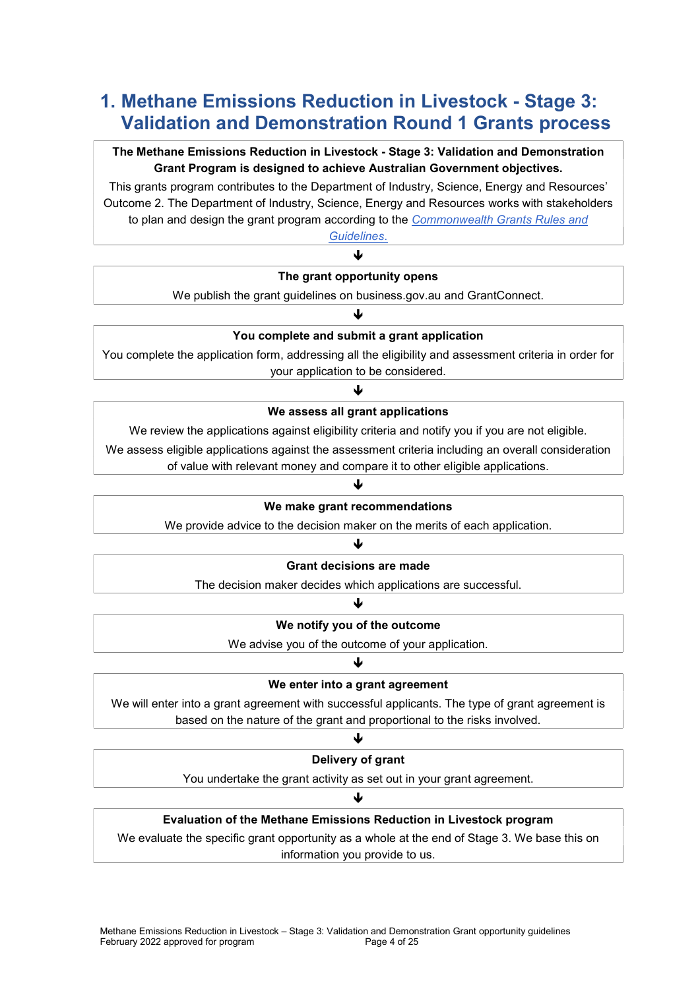# 1. Methane Emissions Reduction in Livestock - Stage 3: Validation and Demonstration Round 1 Grants process

### The Methane Emissions Reduction in Livestock - Stage 3: Validation and Demonstration Grant Program is designed to achieve Australian Government objectives.

This grants program contributes to the Department of Industry, Science, Energy and Resources' Outcome 2. The Department of Industry, Science, Energy and Resources works with stakeholders to plan and design the grant program according to the Commonwealth Grants Rules and

Guidelines. J

#### The grant opportunity opens

We publish the grant guidelines on business.gov.au and GrantConnect.

# ↓

You complete and submit a grant application

You complete the application form, addressing all the eligibility and assessment criteria in order for your application to be considered.

# J We assess all grant applications

We review the applications against eligibility criteria and notify you if you are not eligible.

We assess eligible applications against the assessment criteria including an overall consideration

of value with relevant money and compare it to other eligible applications.

#### J

#### We make grant recommendations

We provide advice to the decision maker on the merits of each application.

#### $\downarrow$

#### Grant decisions are made

The decision maker decides which applications are successful.

# 业

### We notify you of the outcome

We advise you of the outcome of your application.

#### J

#### We enter into a grant agreement

We will enter into a grant agreement with successful applicants. The type of grant agreement is based on the nature of the grant and proportional to the risks involved.

# ↓ Delivery of grant

You undertake the grant activity as set out in your grant agreement.

#### 业

#### Evaluation of the Methane Emissions Reduction in Livestock program

We evaluate the specific grant opportunity as a whole at the end of Stage 3. We base this on information you provide to us.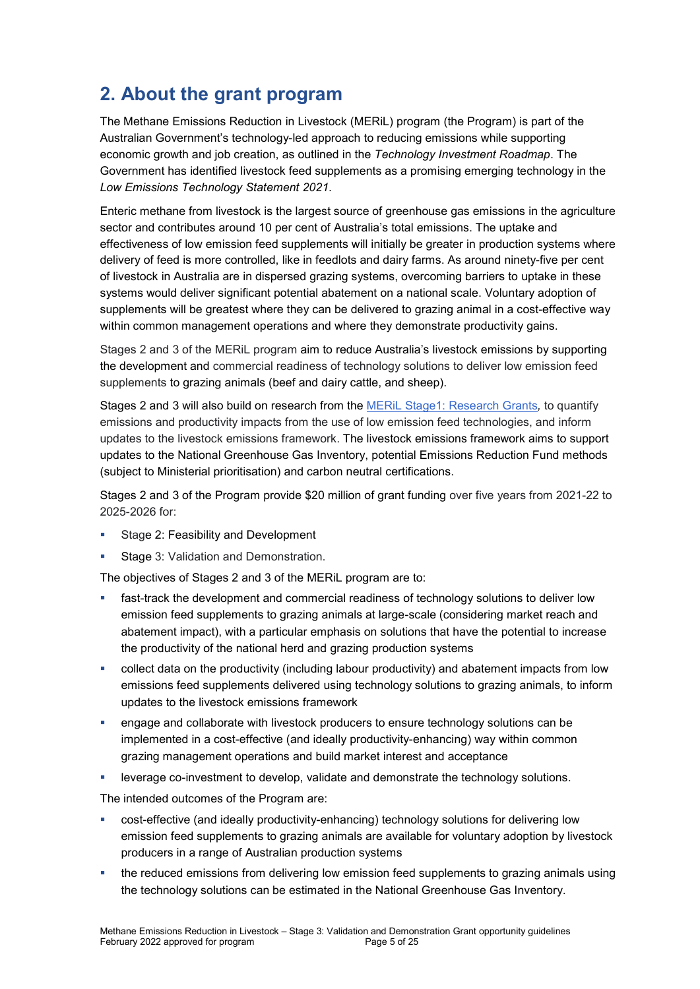# 2. About the grant program

The Methane Emissions Reduction in Livestock (MERiL) program (the Program) is part of the Australian Government's technology-led approach to reducing emissions while supporting economic growth and job creation, as outlined in the Technology Investment Roadmap. The Government has identified livestock feed supplements as a promising emerging technology in the Low Emissions Technology Statement 2021.

Enteric methane from livestock is the largest source of greenhouse gas emissions in the agriculture sector and contributes around 10 per cent of Australia's total emissions. The uptake and effectiveness of low emission feed supplements will initially be greater in production systems where delivery of feed is more controlled, like in feedlots and dairy farms. As around ninety-five per cent of livestock in Australia are in dispersed grazing systems, overcoming barriers to uptake in these systems would deliver significant potential abatement on a national scale. Voluntary adoption of supplements will be greatest where they can be delivered to grazing animal in a cost-effective way within common management operations and where they demonstrate productivity gains.

Stages 2 and 3 of the MERiL program aim to reduce Australia's livestock emissions by supporting the development and commercial readiness of technology solutions to deliver low emission feed supplements to grazing animals (beef and dairy cattle, and sheep).

Stages 2 and 3 will also build on research from the MERIL Stage1: Research Grants, to quantify emissions and productivity impacts from the use of low emission feed technologies, and inform updates to the livestock emissions framework. The livestock emissions framework aims to support updates to the National Greenhouse Gas Inventory, potential Emissions Reduction Fund methods (subject to Ministerial prioritisation) and carbon neutral certifications.

Stages 2 and 3 of the Program provide \$20 million of grant funding over five years from 2021-22 to 2025-2026 for:

- Stage 2: Feasibility and Development
- Stage 3: Validation and Demonstration.

The objectives of Stages 2 and 3 of the MERiL program are to:

- fast-track the development and commercial readiness of technology solutions to deliver low emission feed supplements to grazing animals at large-scale (considering market reach and abatement impact), with a particular emphasis on solutions that have the potential to increase the productivity of the national herd and grazing production systems
- collect data on the productivity (including labour productivity) and abatement impacts from low emissions feed supplements delivered using technology solutions to grazing animals, to inform updates to the livestock emissions framework
- **EXECT** engage and collaborate with livestock producers to ensure technology solutions can be implemented in a cost-effective (and ideally productivity-enhancing) way within common grazing management operations and build market interest and acceptance
- leverage co-investment to develop, validate and demonstrate the technology solutions.

The intended outcomes of the Program are:

- cost-effective (and ideally productivity-enhancing) technology solutions for delivering low emission feed supplements to grazing animals are available for voluntary adoption by livestock producers in a range of Australian production systems
- the reduced emissions from delivering low emission feed supplements to grazing animals using the technology solutions can be estimated in the National Greenhouse Gas Inventory.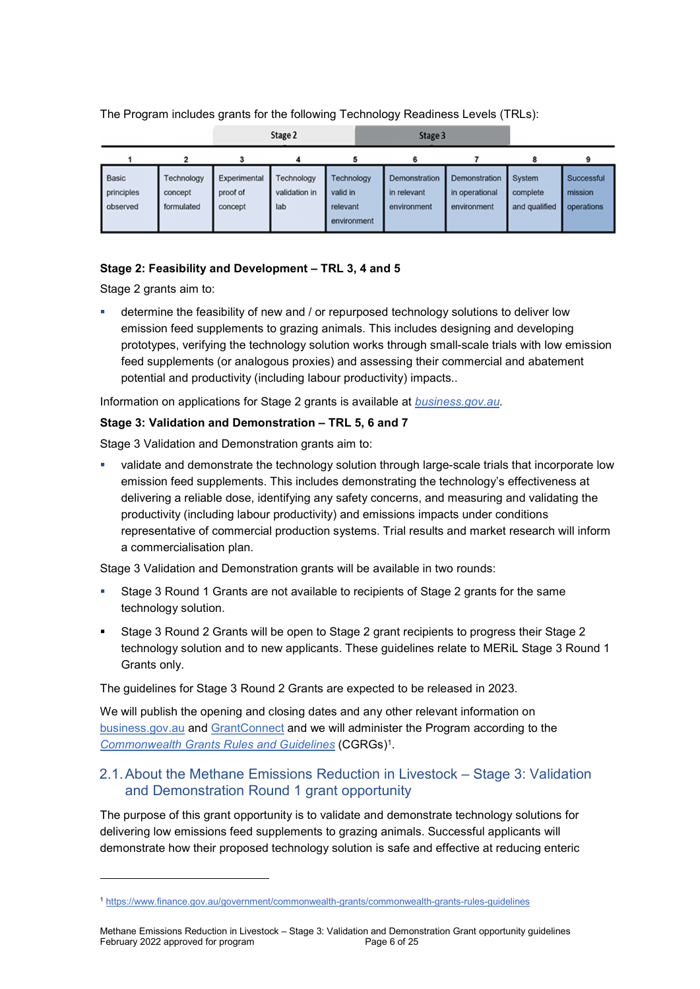#### The Program includes grants for the following Technology Readiness Levels (TRLs):

|                                        | Stage 2<br>Stage 3                  |                                     |                                    |                                                          |                                             |                                                |                                     |                                     |
|----------------------------------------|-------------------------------------|-------------------------------------|------------------------------------|----------------------------------------------------------|---------------------------------------------|------------------------------------------------|-------------------------------------|-------------------------------------|
|                                        |                                     |                                     |                                    |                                                          | 6                                           |                                                |                                     |                                     |
| <b>Basic</b><br>principles<br>observed | Technology<br>concept<br>formulated | Experimental<br>proof of<br>concept | Technology<br>validation in<br>lab | <b>Technology</b><br>valid in<br>relevant<br>environment | Demonstration<br>in relevant<br>environment | Demonstration<br>in operational<br>environment | System<br>complete<br>and qualified | Successful<br>mission<br>operations |

#### Stage 2: Feasibility and Development – TRL 3, 4 and 5

Stage 2 grants aim to:

-

 determine the feasibility of new and / or repurposed technology solutions to deliver low emission feed supplements to grazing animals. This includes designing and developing prototypes, verifying the technology solution works through small-scale trials with low emission feed supplements (or analogous proxies) and assessing their commercial and abatement potential and productivity (including labour productivity) impacts..

Information on applications for Stage 2 grants is available at **business.gov.au**.

#### Stage 3: Validation and Demonstration – TRL 5, 6 and 7

Stage 3 Validation and Demonstration grants aim to:

 validate and demonstrate the technology solution through large-scale trials that incorporate low emission feed supplements. This includes demonstrating the technology's effectiveness at delivering a reliable dose, identifying any safety concerns, and measuring and validating the productivity (including labour productivity) and emissions impacts under conditions representative of commercial production systems. Trial results and market research will inform a commercialisation plan.

Stage 3 Validation and Demonstration grants will be available in two rounds:

- Stage 3 Round 1 Grants are not available to recipients of Stage 2 grants for the same technology solution.
- Stage 3 Round 2 Grants will be open to Stage 2 grant recipients to progress their Stage 2 technology solution and to new applicants. These guidelines relate to MERiL Stage 3 Round 1 Grants only.

The guidelines for Stage 3 Round 2 Grants are expected to be released in 2023.

We will publish the opening and closing dates and any other relevant information on business.gov.au and GrantConnect and we will administer the Program according to the **Commonwealth Grants Rules and Guidelines (CGRGs)<sup>1</sup>.** 

### 2.1. About the Methane Emissions Reduction in Livestock – Stage 3: Validation and Demonstration Round 1 grant opportunity

The purpose of this grant opportunity is to validate and demonstrate technology solutions for delivering low emissions feed supplements to grazing animals. Successful applicants will demonstrate how their proposed technology solution is safe and effective at reducing enteric

<sup>1</sup> https://www.finance.gov.au/government/commonwealth-grants/commonwealth-grants-rules-guidelines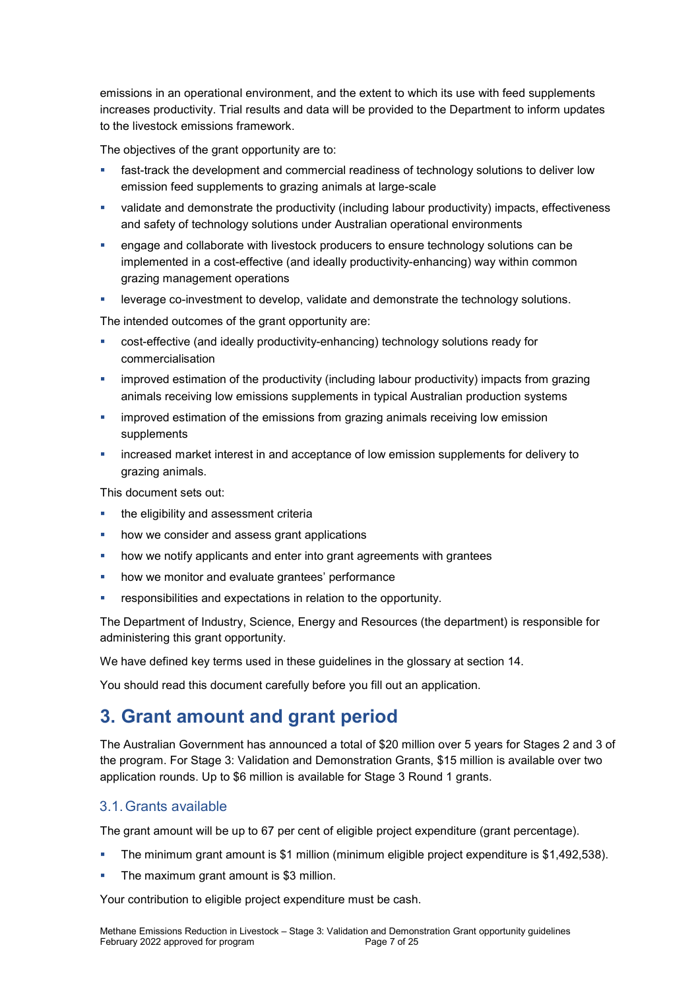emissions in an operational environment, and the extent to which its use with feed supplements increases productivity. Trial results and data will be provided to the Department to inform updates to the livestock emissions framework.

The objectives of the grant opportunity are to:

- fast-track the development and commercial readiness of technology solutions to deliver low emission feed supplements to grazing animals at large-scale
- validate and demonstrate the productivity (including labour productivity) impacts, effectiveness and safety of technology solutions under Australian operational environments
- **•** engage and collaborate with livestock producers to ensure technology solutions can be implemented in a cost-effective (and ideally productivity-enhancing) way within common grazing management operations
- **EXECT** leverage co-investment to develop, validate and demonstrate the technology solutions.

The intended outcomes of the grant opportunity are:

- cost-effective (and ideally productivity-enhancing) technology solutions ready for commercialisation
- improved estimation of the productivity (including labour productivity) impacts from grazing animals receiving low emissions supplements in typical Australian production systems
- **•** improved estimation of the emissions from grazing animals receiving low emission supplements
- increased market interest in and acceptance of low emission supplements for delivery to grazing animals.

This document sets out:

- **the eligibility and assessment criterially**
- how we consider and assess grant applications
- how we notify applicants and enter into grant agreements with grantees
- how we monitor and evaluate grantees' performance
- responsibilities and expectations in relation to the opportunity.

The Department of Industry, Science, Energy and Resources (the department) is responsible for administering this grant opportunity.

We have defined key terms used in these guidelines in the glossary at section 14.

You should read this document carefully before you fill out an application.

# 3. Grant amount and grant period

The Australian Government has announced a total of \$20 million over 5 years for Stages 2 and 3 of the program. For Stage 3: Validation and Demonstration Grants, \$15 million is available over two application rounds. Up to \$6 million is available for Stage 3 Round 1 grants.

#### 3.1. Grants available

The grant amount will be up to 67 per cent of eligible project expenditure (grant percentage).

- The minimum grant amount is \$1 million (minimum eligible project expenditure is \$1,492,538).
- The maximum grant amount is \$3 million.

Your contribution to eligible project expenditure must be cash.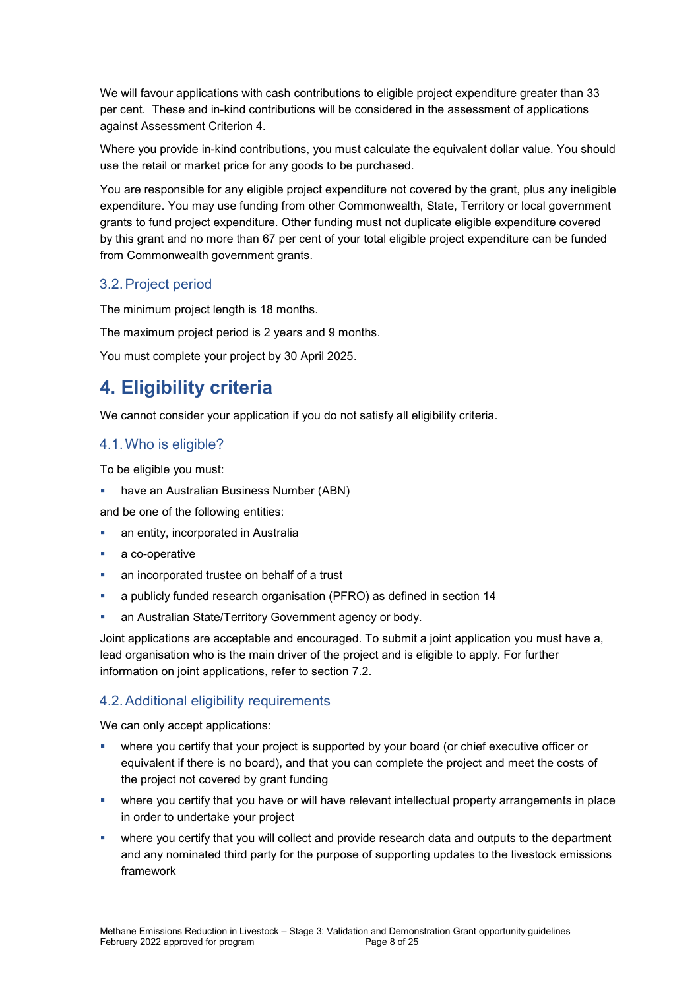We will favour applications with cash contributions to eligible project expenditure greater than 33 per cent. These and in-kind contributions will be considered in the assessment of applications against Assessment Criterion 4.

Where you provide in-kind contributions, you must calculate the equivalent dollar value. You should use the retail or market price for any goods to be purchased.

You are responsible for any eligible project expenditure not covered by the grant, plus any ineligible expenditure. You may use funding from other Commonwealth, State, Territory or local government grants to fund project expenditure. Other funding must not duplicate eligible expenditure covered by this grant and no more than 67 per cent of your total eligible project expenditure can be funded from Commonwealth government grants.

# 3.2. Project period

The minimum project length is 18 months.

The maximum project period is 2 years and 9 months.

You must complete your project by 30 April 2025.

# 4. Eligibility criteria

We cannot consider your application if you do not satisfy all eligibility criteria.

# 4.1. Who is eligible?

To be eligible you must:

- have an Australian Business Number (ABN)
- and be one of the following entities:
- an entity, incorporated in Australia
- a co-operative
- an incorporated trustee on behalf of a trust
- a publicly funded research organisation (PFRO) as defined in section 14
- **an Australian State/Territory Government agency or body.**

Joint applications are acceptable and encouraged. To submit a joint application you must have a, lead organisation who is the main driver of the project and is eligible to apply. For further information on joint applications, refer to section 7.2.

# 4.2. Additional eligibility requirements

We can only accept applications:

- where you certify that your project is supported by your board (or chief executive officer or equivalent if there is no board), and that you can complete the project and meet the costs of the project not covered by grant funding
- where you certify that you have or will have relevant intellectual property arrangements in place in order to undertake your project
- where you certify that you will collect and provide research data and outputs to the department and any nominated third party for the purpose of supporting updates to the livestock emissions framework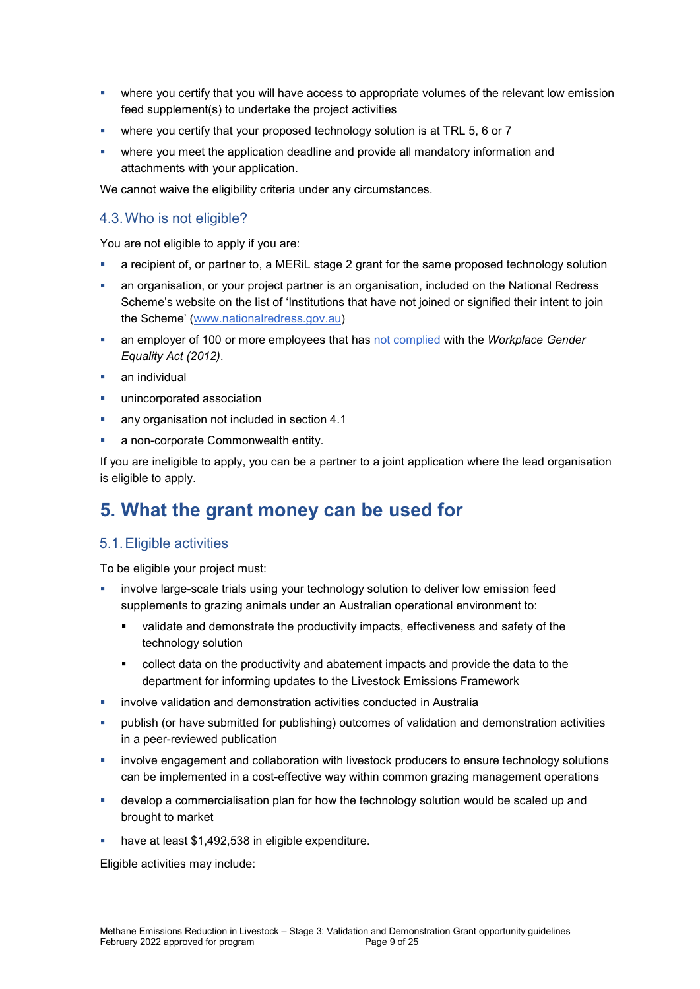- where you certify that you will have access to appropriate volumes of the relevant low emission feed supplement(s) to undertake the project activities
- where you certify that your proposed technology solution is at TRL 5, 6 or 7
- where you meet the application deadline and provide all mandatory information and attachments with your application.

We cannot waive the eligibility criteria under any circumstances.

#### 4.3. Who is not eligible?

You are not eligible to apply if you are:

- a recipient of, or partner to, a MERiL stage 2 grant for the same proposed technology solution
- an organisation, or your project partner is an organisation, included on the National Redress Scheme's website on the list of 'Institutions that have not joined or signified their intent to join the Scheme' (www.nationalredress.gov.au)
- an employer of 100 or more employees that has not complied with the Workplace Gender Equality Act (2012).
- an individual
- unincorporated association
- any organisation not included in section 4.1
- a non-corporate Commonwealth entity.

If you are ineligible to apply, you can be a partner to a joint application where the lead organisation is eligible to apply.

# 5. What the grant money can be used for

#### 5.1. Eligible activities

To be eligible your project must:

- involve large-scale trials using your technology solution to deliver low emission feed supplements to grazing animals under an Australian operational environment to:
	- validate and demonstrate the productivity impacts, effectiveness and safety of the technology solution
	- collect data on the productivity and abatement impacts and provide the data to the department for informing updates to the Livestock Emissions Framework
- involve validation and demonstration activities conducted in Australia
- publish (or have submitted for publishing) outcomes of validation and demonstration activities in a peer-reviewed publication
- involve engagement and collaboration with livestock producers to ensure technology solutions can be implemented in a cost-effective way within common grazing management operations
- develop a commercialisation plan for how the technology solution would be scaled up and brought to market
- have at least \$1,492,538 in eligible expenditure.

Eligible activities may include: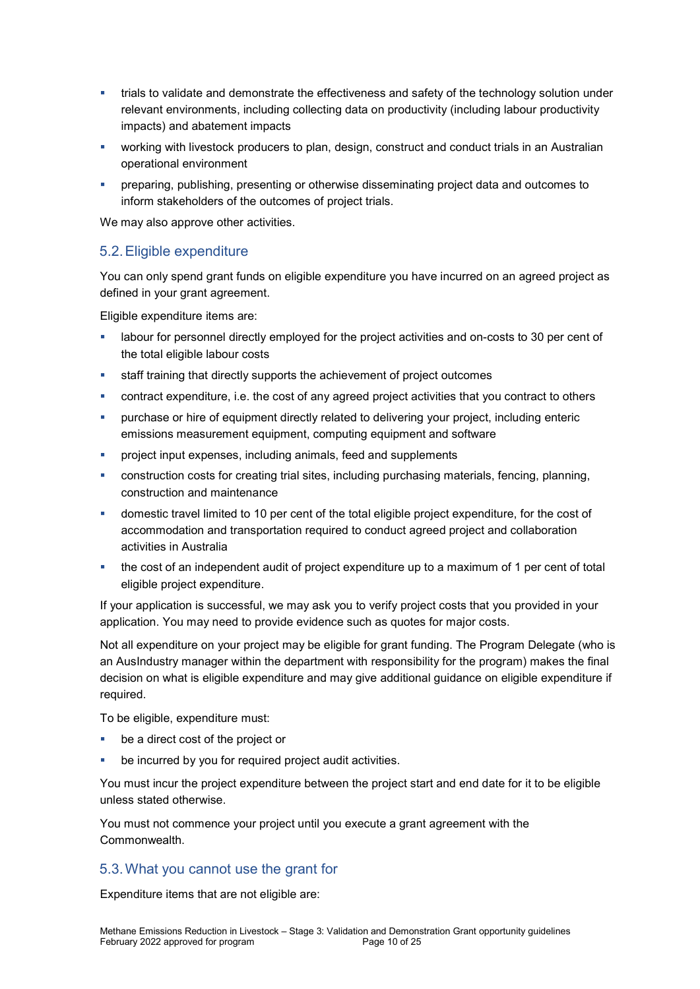- trials to validate and demonstrate the effectiveness and safety of the technology solution under relevant environments, including collecting data on productivity (including labour productivity impacts) and abatement impacts
- **•** working with livestock producers to plan, design, construct and conduct trials in an Australian operational environment
- preparing, publishing, presenting or otherwise disseminating project data and outcomes to inform stakeholders of the outcomes of project trials.

We may also approve other activities.

### 5.2. Eligible expenditure

You can only spend grant funds on eligible expenditure you have incurred on an agreed project as defined in your grant agreement.

Eligible expenditure items are:

- labour for personnel directly employed for the project activities and on-costs to 30 per cent of the total eligible labour costs
- **staff training that directly supports the achievement of project outcomes**
- contract expenditure, i.e. the cost of any agreed project activities that you contract to others
- purchase or hire of equipment directly related to delivering your project, including enteric emissions measurement equipment, computing equipment and software
- **•** project input expenses, including animals, feed and supplements
- construction costs for creating trial sites, including purchasing materials, fencing, planning, construction and maintenance
- domestic travel limited to 10 per cent of the total eligible project expenditure, for the cost of accommodation and transportation required to conduct agreed project and collaboration activities in Australia
- the cost of an independent audit of project expenditure up to a maximum of 1 per cent of total eligible project expenditure.

If your application is successful, we may ask you to verify project costs that you provided in your application. You may need to provide evidence such as quotes for major costs.

Not all expenditure on your project may be eligible for grant funding. The Program Delegate (who is an AusIndustry manager within the department with responsibility for the program) makes the final decision on what is eligible expenditure and may give additional guidance on eligible expenditure if required.

To be eligible, expenditure must:

- be a direct cost of the project or
- be incurred by you for required project audit activities.

You must incur the project expenditure between the project start and end date for it to be eligible unless stated otherwise.

You must not commence your project until you execute a grant agreement with the Commonwealth.

#### 5.3. What you cannot use the grant for

Expenditure items that are not eligible are: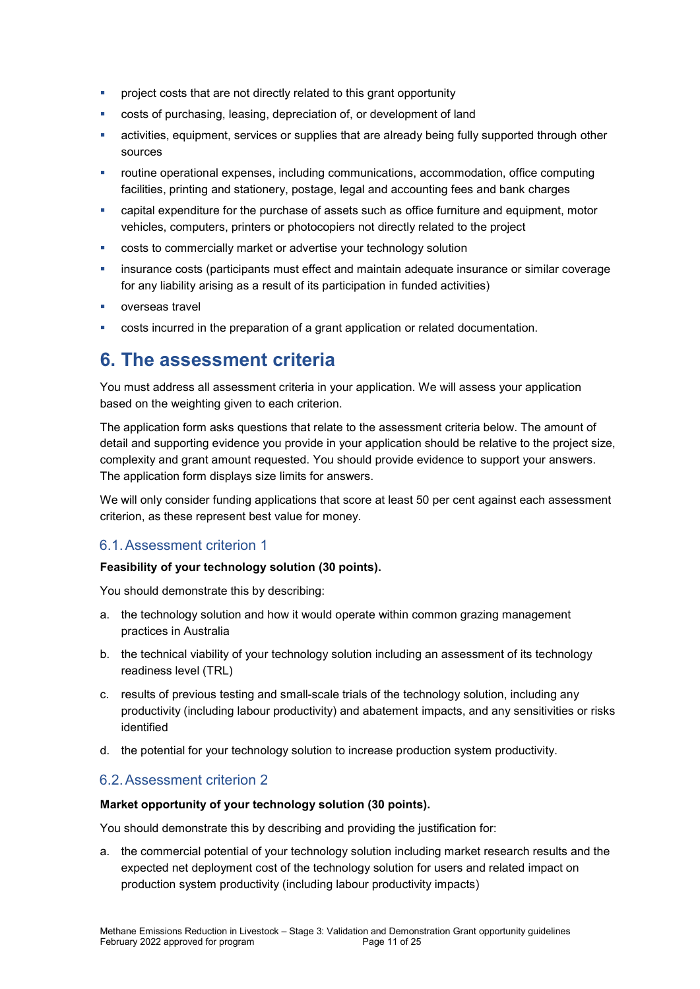- **•** project costs that are not directly related to this grant opportunity
- costs of purchasing, leasing, depreciation of, or development of land
- activities, equipment, services or supplies that are already being fully supported through other sources
- routine operational expenses, including communications, accommodation, office computing facilities, printing and stationery, postage, legal and accounting fees and bank charges
- capital expenditure for the purchase of assets such as office furniture and equipment, motor vehicles, computers, printers or photocopiers not directly related to the project
- **•** costs to commercially market or advertise your technology solution
- **EXED** insurance costs (participants must effect and maintain adequate insurance or similar coverage for any liability arising as a result of its participation in funded activities)
- overseas travel
- costs incurred in the preparation of a grant application or related documentation.

# 6. The assessment criteria

You must address all assessment criteria in your application. We will assess your application based on the weighting given to each criterion.

The application form asks questions that relate to the assessment criteria below. The amount of detail and supporting evidence you provide in your application should be relative to the project size, complexity and grant amount requested. You should provide evidence to support your answers. The application form displays size limits for answers.

We will only consider funding applications that score at least 50 per cent against each assessment criterion, as these represent best value for money.

# 6.1. Assessment criterion 1

#### Feasibility of your technology solution (30 points).

You should demonstrate this by describing:

- a. the technology solution and how it would operate within common grazing management practices in Australia
- b. the technical viability of your technology solution including an assessment of its technology readiness level (TRL)
- c. results of previous testing and small-scale trials of the technology solution, including any productivity (including labour productivity) and abatement impacts, and any sensitivities or risks identified
- d. the potential for your technology solution to increase production system productivity.

# 6.2. Assessment criterion 2

#### Market opportunity of your technology solution (30 points).

You should demonstrate this by describing and providing the justification for:

a. the commercial potential of your technology solution including market research results and the expected net deployment cost of the technology solution for users and related impact on production system productivity (including labour productivity impacts)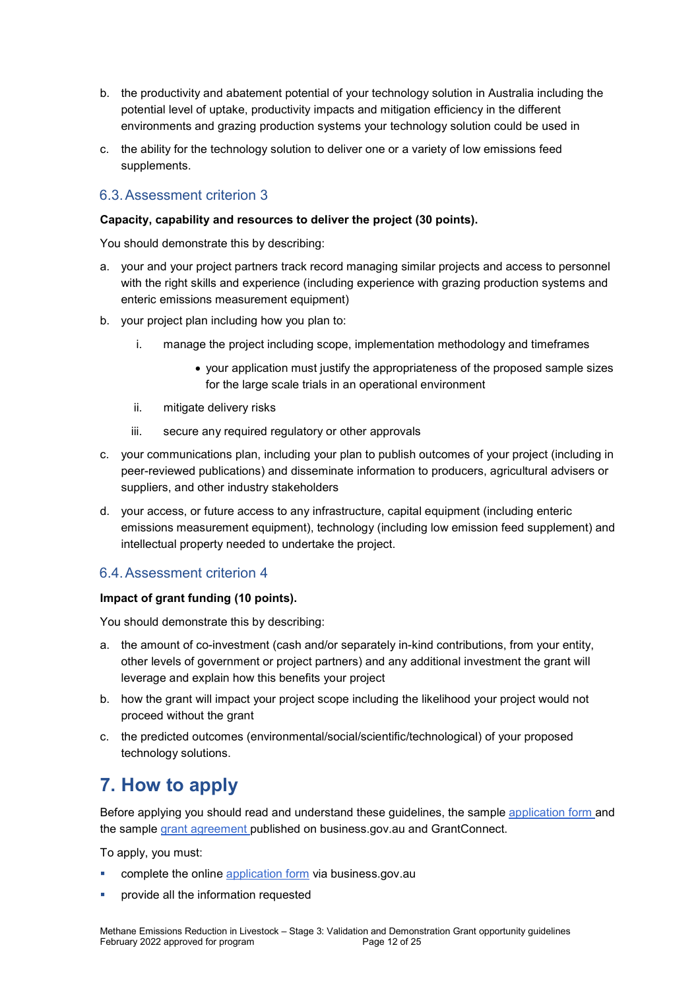- b. the productivity and abatement potential of your technology solution in Australia including the potential level of uptake, productivity impacts and mitigation efficiency in the different environments and grazing production systems your technology solution could be used in
- c. the ability for the technology solution to deliver one or a variety of low emissions feed supplements.

### 6.3. Assessment criterion 3

#### Capacity, capability and resources to deliver the project (30 points).

You should demonstrate this by describing:

- a. your and your project partners track record managing similar projects and access to personnel with the right skills and experience (including experience with grazing production systems and enteric emissions measurement equipment)
- b. your project plan including how you plan to:
	- i. manage the project including scope, implementation methodology and timeframes
		- your application must justify the appropriateness of the proposed sample sizes for the large scale trials in an operational environment
	- ii. mitigate delivery risks
	- iii. secure any required regulatory or other approvals
- c. your communications plan, including your plan to publish outcomes of your project (including in peer-reviewed publications) and disseminate information to producers, agricultural advisers or suppliers, and other industry stakeholders
- d. your access, or future access to any infrastructure, capital equipment (including enteric emissions measurement equipment), technology (including low emission feed supplement) and intellectual property needed to undertake the project.

#### 6.4. Assessment criterion 4

#### Impact of grant funding (10 points).

You should demonstrate this by describing:

- a. the amount of co-investment (cash and/or separately in-kind contributions, from your entity, other levels of government or project partners) and any additional investment the grant will leverage and explain how this benefits your project
- b. how the grant will impact your project scope including the likelihood your project would not proceed without the grant
- c. the predicted outcomes (environmental/social/scientific/technological) of your proposed technology solutions.

# 7. How to apply

Before applying you should read and understand these guidelines, the sample application form and the sample grant agreement published on business.gov.au and GrantConnect.

To apply, you must:

- complete the online application form via business.gov.au
- provide all the information requested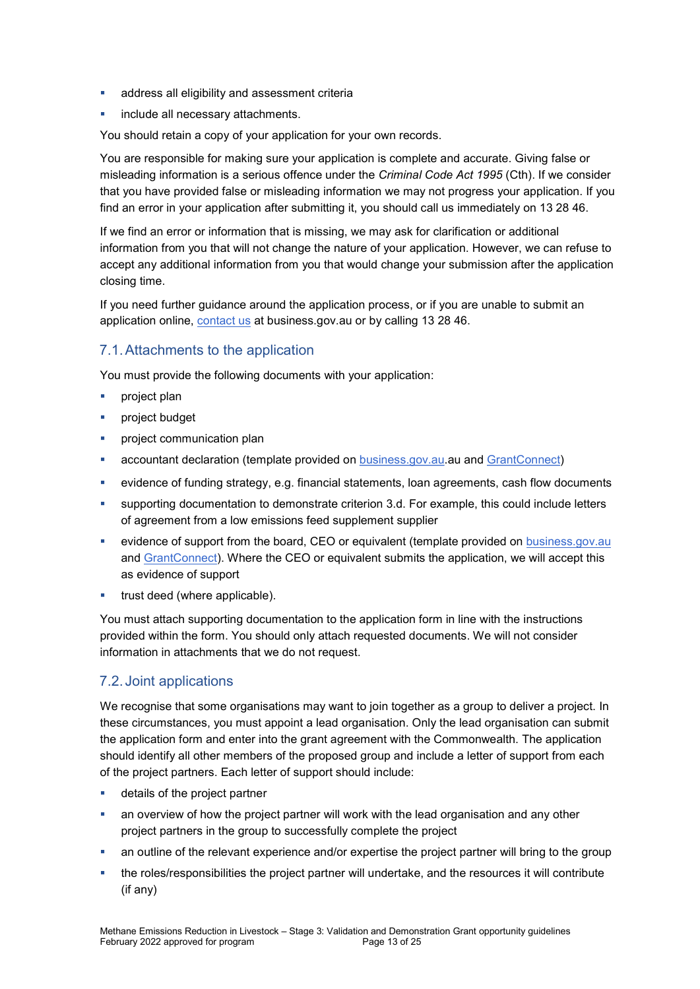- **address all eligibility and assessment criteria**
- include all necessary attachments.

You should retain a copy of your application for your own records.

You are responsible for making sure your application is complete and accurate. Giving false or misleading information is a serious offence under the Criminal Code Act 1995 (Cth). If we consider that you have provided false or misleading information we may not progress your application. If you find an error in your application after submitting it, you should call us immediately on 13 28 46.

If we find an error or information that is missing, we may ask for clarification or additional information from you that will not change the nature of your application. However, we can refuse to accept any additional information from you that would change your submission after the application closing time.

If you need further guidance around the application process, or if you are unable to submit an application online, contact us at business.gov.au or by calling 13 28 46.

# 7.1. Attachments to the application

You must provide the following documents with your application:

- **project plan**
- **project budget**
- project communication plan
- accountant declaration (template provided on business.gov.au.au and GrantConnect)
- evidence of funding strategy, e.g. financial statements, loan agreements, cash flow documents
- supporting documentation to demonstrate criterion 3.d. For example, this could include letters of agreement from a low emissions feed supplement supplier
- **EXECT** evidence of support from the board, CEO or equivalent (template provided on **business.gov.au** and GrantConnect). Where the CEO or equivalent submits the application, we will accept this as evidence of support
- trust deed (where applicable).

You must attach supporting documentation to the application form in line with the instructions provided within the form. You should only attach requested documents. We will not consider information in attachments that we do not request.

# 7.2. Joint applications

We recognise that some organisations may want to join together as a group to deliver a project. In these circumstances, you must appoint a lead organisation. Only the lead organisation can submit the application form and enter into the grant agreement with the Commonwealth. The application should identify all other members of the proposed group and include a letter of support from each of the project partners. Each letter of support should include:

- **details of the project partner**
- an overview of how the project partner will work with the lead organisation and any other project partners in the group to successfully complete the project
- an outline of the relevant experience and/or expertise the project partner will bring to the group
- the roles/responsibilities the project partner will undertake, and the resources it will contribute (if any)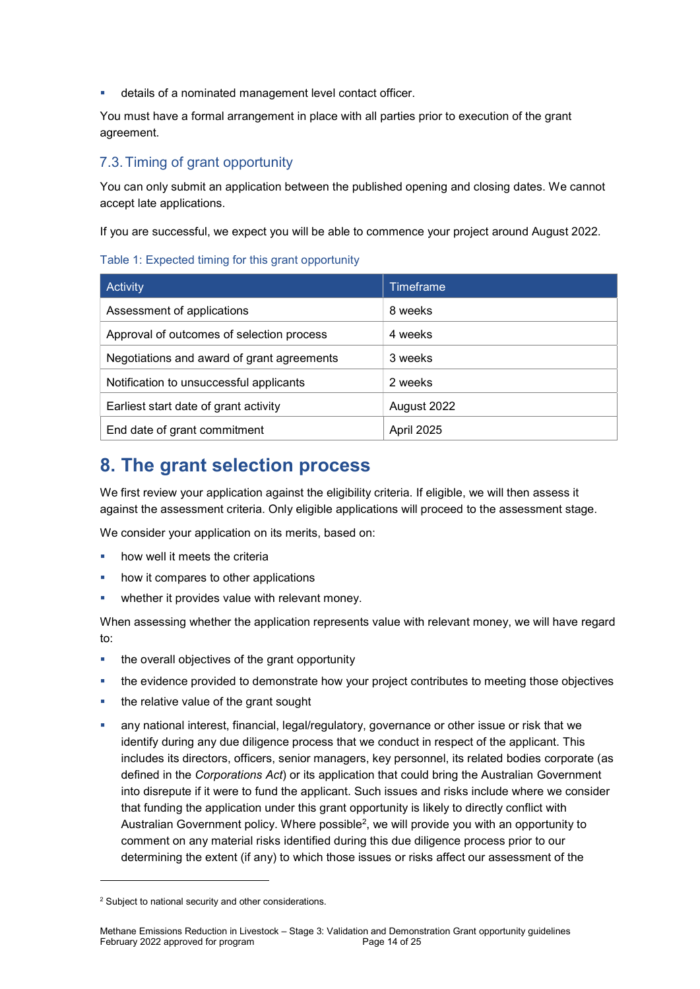details of a nominated management level contact officer.

You must have a formal arrangement in place with all parties prior to execution of the grant agreement.

# 7.3. Timing of grant opportunity

You can only submit an application between the published opening and closing dates. We cannot accept late applications.

If you are successful, we expect you will be able to commence your project around August 2022.

#### Table 1: Expected timing for this grant opportunity

| Activity                                   | Timeframe         |
|--------------------------------------------|-------------------|
| Assessment of applications                 | 8 weeks           |
| Approval of outcomes of selection process  | 4 weeks           |
| Negotiations and award of grant agreements | 3 weeks           |
| Notification to unsuccessful applicants    | 2 weeks           |
| Earliest start date of grant activity      | August 2022       |
| End date of grant commitment               | <b>April 2025</b> |

# 8. The grant selection process

We first review your application against the eligibility criteria. If eligible, we will then assess it against the assessment criteria. Only eligible applications will proceed to the assessment stage.

We consider your application on its merits, based on:

- how well it meets the criteria
- how it compares to other applications
- **•** whether it provides value with relevant money.

When assessing whether the application represents value with relevant money, we will have regard to:

- the overall objectives of the grant opportunity
- the evidence provided to demonstrate how your project contributes to meeting those objectives
- the relative value of the grant sought
- any national interest, financial, legal/regulatory, governance or other issue or risk that we identify during any due diligence process that we conduct in respect of the applicant. This includes its directors, officers, senior managers, key personnel, its related bodies corporate (as defined in the Corporations Act) or its application that could bring the Australian Government into disrepute if it were to fund the applicant. Such issues and risks include where we consider that funding the application under this grant opportunity is likely to directly conflict with Australian Government policy. Where possible<sup>2</sup>, we will provide you with an opportunity to comment on any material risks identified during this due diligence process prior to our determining the extent (if any) to which those issues or risks affect our assessment of the

-

<sup>&</sup>lt;sup>2</sup> Subject to national security and other considerations.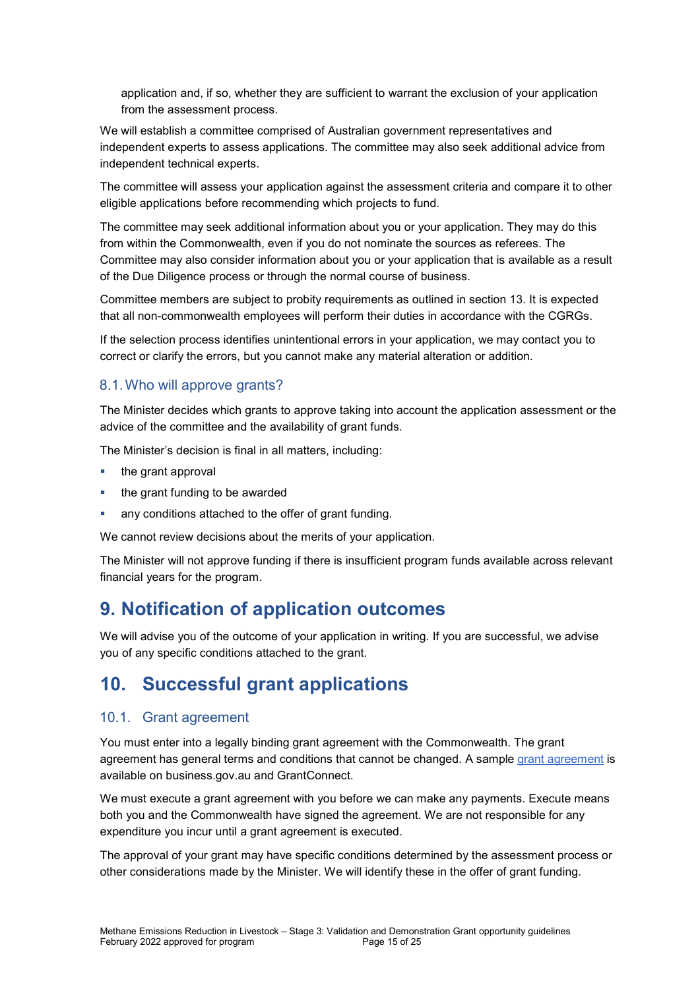application and, if so, whether they are sufficient to warrant the exclusion of your application from the assessment process.

We will establish a committee comprised of Australian government representatives and independent experts to assess applications. The committee may also seek additional advice from independent technical experts.

The committee will assess your application against the assessment criteria and compare it to other eligible applications before recommending which projects to fund.

The committee may seek additional information about you or your application. They may do this from within the Commonwealth, even if you do not nominate the sources as referees. The Committee may also consider information about you or your application that is available as a result of the Due Diligence process or through the normal course of business.

Committee members are subject to probity requirements as outlined in section 13. It is expected that all non-commonwealth employees will perform their duties in accordance with the CGRGs.

If the selection process identifies unintentional errors in your application, we may contact you to correct or clarify the errors, but you cannot make any material alteration or addition.

# 8.1. Who will approve grants?

The Minister decides which grants to approve taking into account the application assessment or the advice of the committee and the availability of grant funds.

The Minister's decision is final in all matters, including:

- the grant approval
- the grant funding to be awarded
- any conditions attached to the offer of grant funding.

We cannot review decisions about the merits of your application.

The Minister will not approve funding if there is insufficient program funds available across relevant financial years for the program.

# 9. Notification of application outcomes

We will advise you of the outcome of your application in writing. If you are successful, we advise you of any specific conditions attached to the grant.

# 10. Successful grant applications

#### 10.1. Grant agreement

You must enter into a legally binding grant agreement with the Commonwealth. The grant agreement has general terms and conditions that cannot be changed. A sample grant agreement is available on business.gov.au and GrantConnect.

We must execute a grant agreement with you before we can make any payments. Execute means both you and the Commonwealth have signed the agreement. We are not responsible for any expenditure you incur until a grant agreement is executed.

The approval of your grant may have specific conditions determined by the assessment process or other considerations made by the Minister. We will identify these in the offer of grant funding.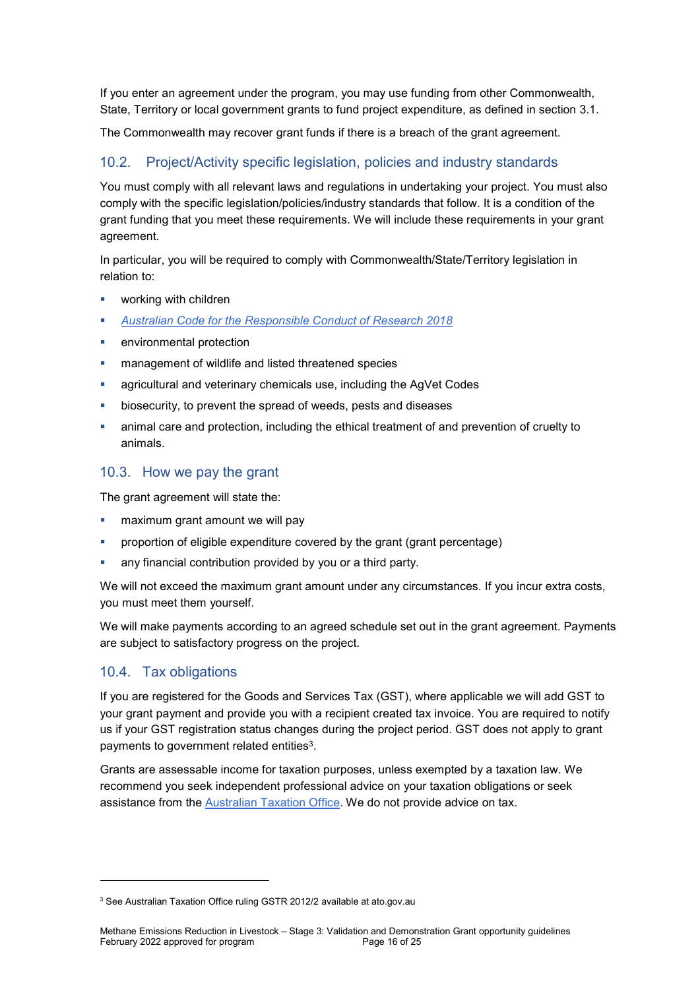If you enter an agreement under the program, you may use funding from other Commonwealth, State, Territory or local government grants to fund project expenditure, as defined in section 3.1.

The Commonwealth may recover grant funds if there is a breach of the grant agreement.

# 10.2. Project/Activity specific legislation, policies and industry standards

You must comply with all relevant laws and regulations in undertaking your project. You must also comply with the specific legislation/policies/industry standards that follow. It is a condition of the grant funding that you meet these requirements. We will include these requirements in your grant agreement.

In particular, you will be required to comply with Commonwealth/State/Territory legislation in relation to:

- working with children
- Australian Code for the Responsible Conduct of Research 2018
- environmental protection
- management of wildlife and listed threatened species
- agricultural and veterinary chemicals use, including the AgVet Codes
- biosecurity, to prevent the spread of weeds, pests and diseases
- animal care and protection, including the ethical treatment of and prevention of cruelty to animals.

### 10.3. How we pay the grant

The grant agreement will state the:

- maximum grant amount we will pay
- **•** proportion of eligible expenditure covered by the grant (grant percentage)
- any financial contribution provided by you or a third party.

We will not exceed the maximum grant amount under any circumstances. If you incur extra costs, you must meet them yourself.

We will make payments according to an agreed schedule set out in the grant agreement. Payments are subject to satisfactory progress on the project.

# 10.4. Tax obligations

-

If you are registered for the Goods and Services Tax (GST), where applicable we will add GST to your grant payment and provide you with a recipient created tax invoice. You are required to notify us if your GST registration status changes during the project period. GST does not apply to grant payments to government related entities<sup>3</sup>.

Grants are assessable income for taxation purposes, unless exempted by a taxation law. We recommend you seek independent professional advice on your taxation obligations or seek assistance from the Australian Taxation Office. We do not provide advice on tax.

<sup>&</sup>lt;sup>3</sup> See Australian Taxation Office ruling GSTR 2012/2 available at ato.gov.au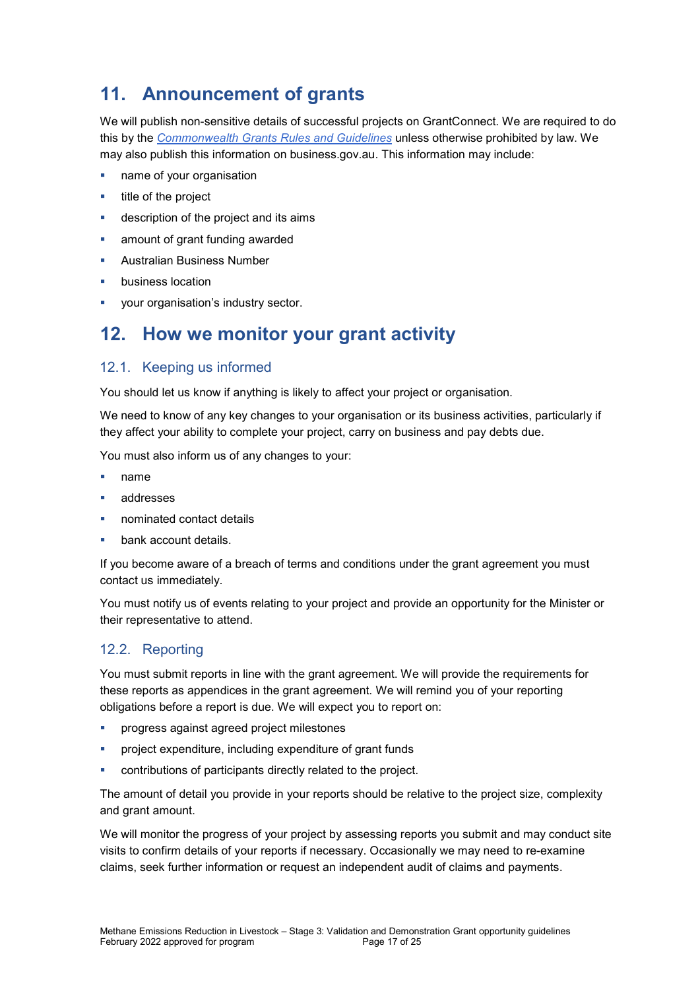# 11. Announcement of grants

We will publish non-sensitive details of successful projects on GrantConnect. We are required to do this by the *Commonwealth Grants Rules and Guidelines* unless otherwise prohibited by law. We may also publish this information on business.gov.au. This information may include:

- name of your organisation
- $\blacksquare$  title of the project
- description of the project and its aims
- amount of grant funding awarded
- Australian Business Number
- business location
- **•** your organisation's industry sector.

# 12. How we monitor your grant activity

#### 12.1. Keeping us informed

You should let us know if anything is likely to affect your project or organisation.

We need to know of any key changes to your organisation or its business activities, particularly if they affect your ability to complete your project, carry on business and pay debts due.

You must also inform us of any changes to your:

- name
- addresses
- nominated contact details
- bank account details.

If you become aware of a breach of terms and conditions under the grant agreement you must contact us immediately.

You must notify us of events relating to your project and provide an opportunity for the Minister or their representative to attend.

#### 12.2. Reporting

You must submit reports in line with the grant agreement. We will provide the requirements for these reports as appendices in the grant agreement. We will remind you of your reporting obligations before a report is due. We will expect you to report on:

- progress against agreed project milestones
- project expenditure, including expenditure of grant funds
- contributions of participants directly related to the project.

The amount of detail you provide in your reports should be relative to the project size, complexity and grant amount.

We will monitor the progress of your project by assessing reports you submit and may conduct site visits to confirm details of your reports if necessary. Occasionally we may need to re-examine claims, seek further information or request an independent audit of claims and payments.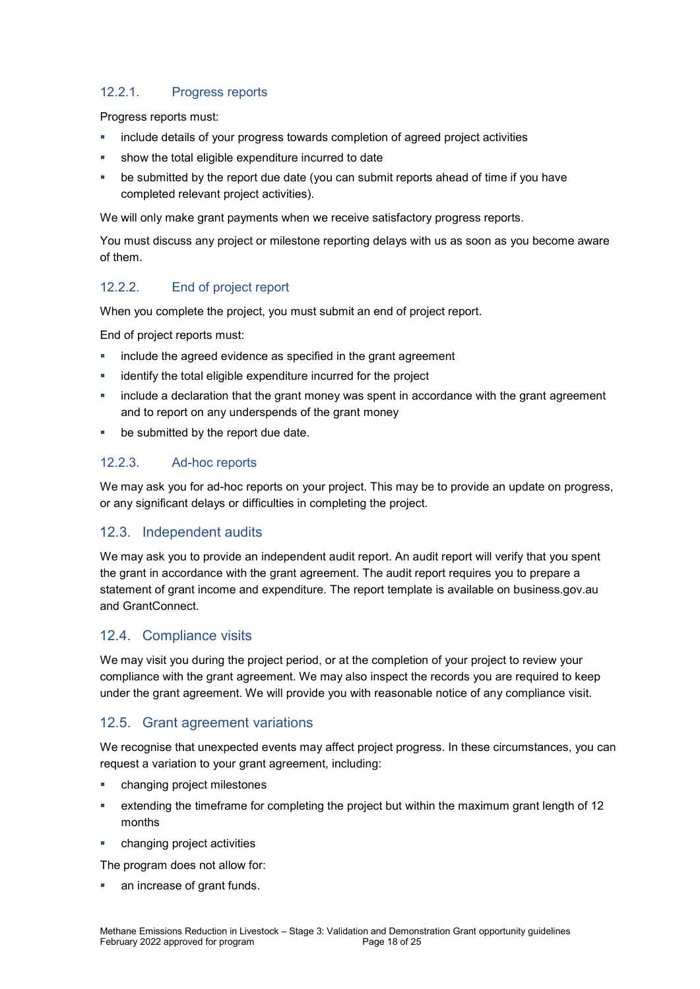# 12.2.1. Progress reports

Progress reports must:

- include details of your progress towards completion of agreed project activities
- show the total eligible expenditure incurred to date
- be submitted by the report due date (you can submit reports ahead of time if you have completed relevant project activities).

We will only make grant payments when we receive satisfactory progress reports.

You must discuss any project or milestone reporting delays with us as soon as you become aware of them.

#### 12.2.2. End of project report

When you complete the project, you must submit an end of project report.

End of project reports must:

- **EXEDEE INCLUDE THE AGE EXE** include the agreement
- identify the total eligible expenditure incurred for the project
- include a declaration that the grant money was spent in accordance with the grant agreement and to report on any underspends of the grant money
- **be submitted by the report due date.**

#### 12.2.3. Ad-hoc reports

We may ask you for ad-hoc reports on your project. This may be to provide an update on progress, or any significant delays or difficulties in completing the project.

#### 12.3. Independent audits

We may ask you to provide an independent audit report. An audit report will verify that you spent the grant in accordance with the grant agreement. The audit report requires you to prepare a statement of grant income and expenditure. The report template is available on business.gov.au and GrantConnect.

#### 12.4. Compliance visits

We may visit you during the project period, or at the completion of your project to review your compliance with the grant agreement. We may also inspect the records you are required to keep under the grant agreement. We will provide you with reasonable notice of any compliance visit.

#### 12.5. Grant agreement variations

We recognise that unexpected events may affect project progress. In these circumstances, you can request a variation to your grant agreement, including:

- changing project milestones
- extending the timeframe for completing the project but within the maximum grant length of 12 months
- changing project activities

The program does not allow for:

an increase of grant funds.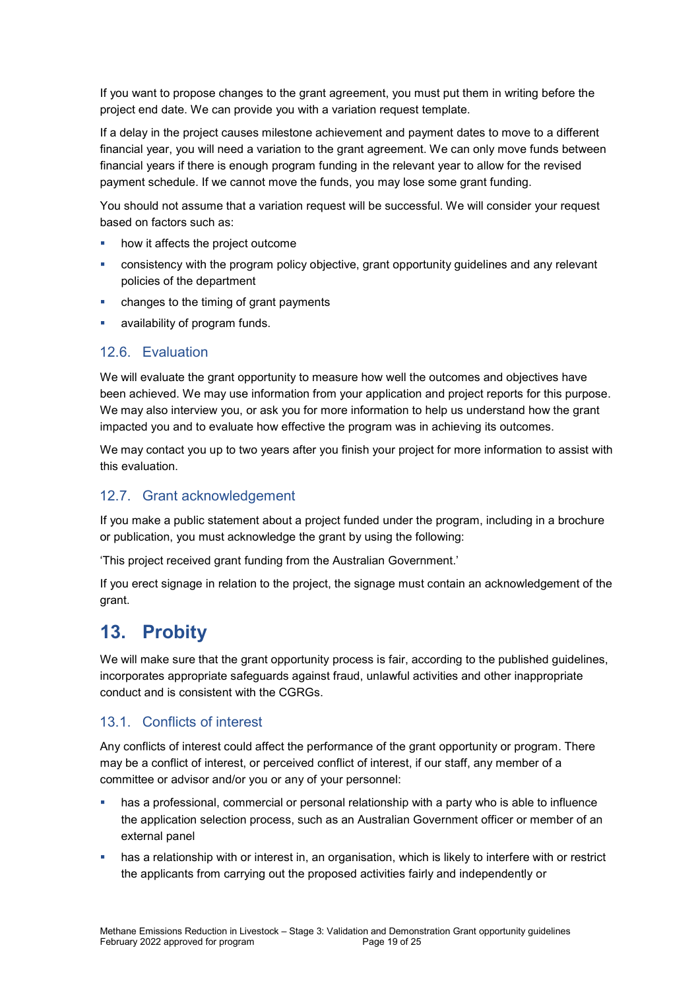If you want to propose changes to the grant agreement, you must put them in writing before the project end date. We can provide you with a variation request template.

If a delay in the project causes milestone achievement and payment dates to move to a different financial year, you will need a variation to the grant agreement. We can only move funds between financial years if there is enough program funding in the relevant year to allow for the revised payment schedule. If we cannot move the funds, you may lose some grant funding.

You should not assume that a variation request will be successful. We will consider your request based on factors such as:

- how it affects the project outcome
- consistency with the program policy objective, grant opportunity guidelines and any relevant policies of the department
- changes to the timing of grant payments
- availability of program funds.

# 12.6. Evaluation

We will evaluate the grant opportunity to measure how well the outcomes and objectives have been achieved. We may use information from your application and project reports for this purpose. We may also interview you, or ask you for more information to help us understand how the grant impacted you and to evaluate how effective the program was in achieving its outcomes.

We may contact you up to two years after you finish your project for more information to assist with this evaluation.

### 12.7. Grant acknowledgement

If you make a public statement about a project funded under the program, including in a brochure or publication, you must acknowledge the grant by using the following:

'This project received grant funding from the Australian Government.'

If you erect signage in relation to the project, the signage must contain an acknowledgement of the grant.

# 13. Probity

We will make sure that the grant opportunity process is fair, according to the published guidelines, incorporates appropriate safeguards against fraud, unlawful activities and other inappropriate conduct and is consistent with the CGRGs.

#### 13.1. Conflicts of interest

Any conflicts of interest could affect the performance of the grant opportunity or program. There may be a conflict of interest, or perceived conflict of interest, if our staff, any member of a committee or advisor and/or you or any of your personnel:

- has a professional, commercial or personal relationship with a party who is able to influence the application selection process, such as an Australian Government officer or member of an external panel
- has a relationship with or interest in, an organisation, which is likely to interfere with or restrict the applicants from carrying out the proposed activities fairly and independently or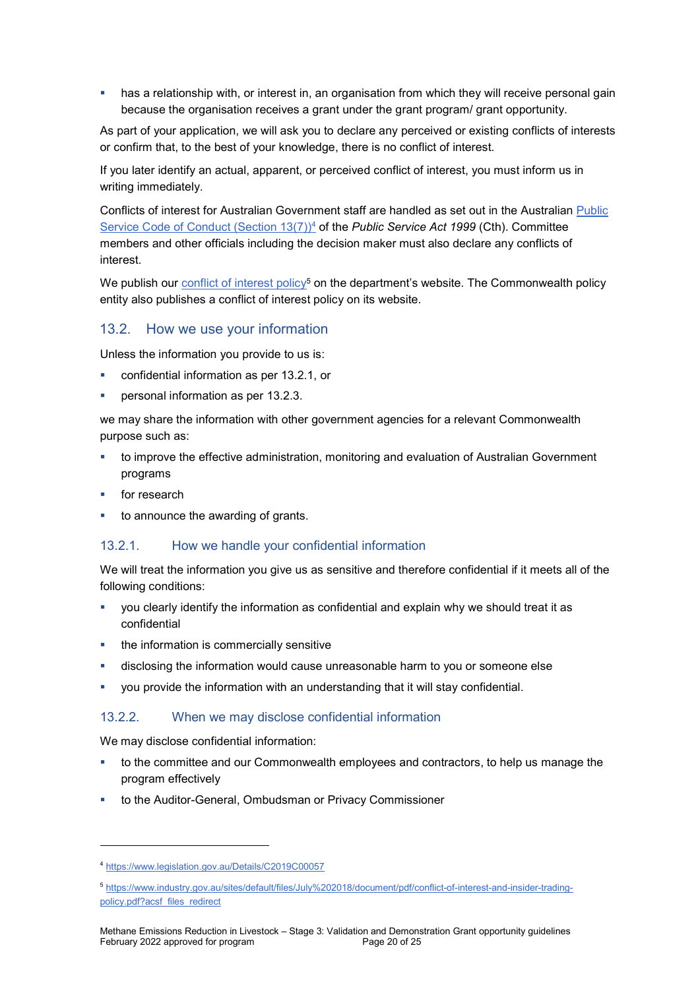has a relationship with, or interest in, an organisation from which they will receive personal gain because the organisation receives a grant under the grant program/ grant opportunity.

As part of your application, we will ask you to declare any perceived or existing conflicts of interests or confirm that, to the best of your knowledge, there is no conflict of interest.

If you later identify an actual, apparent, or perceived conflict of interest, you must inform us in writing immediately.

Conflicts of interest for Australian Government staff are handled as set out in the Australian Public Service Code of Conduct (Section  $13(7)$ <sup>4</sup> of the *Public Service Act 1999* (Cth). Committee members and other officials including the decision maker must also declare any conflicts of interest.

We publish our conflict of interest policy<sup>5</sup> on the department's website. The Commonwealth policy entity also publishes a conflict of interest policy on its website.

#### 13.2. How we use your information

Unless the information you provide to us is:

- confidential information as per 13.2.1, or
- personal information as per 13.2.3.

we may share the information with other government agencies for a relevant Commonwealth purpose such as:

- **to improve the effective administration, monitoring and evaluation of Australian Government** programs
- for research

-

to announce the awarding of grants.

#### 13.2.1. How we handle your confidential information

We will treat the information you give us as sensitive and therefore confidential if it meets all of the following conditions:

- you clearly identify the information as confidential and explain why we should treat it as confidential
- the information is commercially sensitive
- disclosing the information would cause unreasonable harm to you or someone else
- you provide the information with an understanding that it will stay confidential.

#### 13.2.2. When we may disclose confidential information

We may disclose confidential information:

- **the committee and our Commonwealth employees and contractors, to help us manage the** program effectively
- **to the Auditor-General, Ombudsman or Privacy Commissioner**

<sup>4</sup> https://www.legislation.gov.au/Details/C2019C00057

<sup>5</sup> https://www.industry.gov.au/sites/default/files/July%202018/document/pdf/conflict-of-interest-and-insider-tradingpolicy.pdf?acsf\_files\_redirect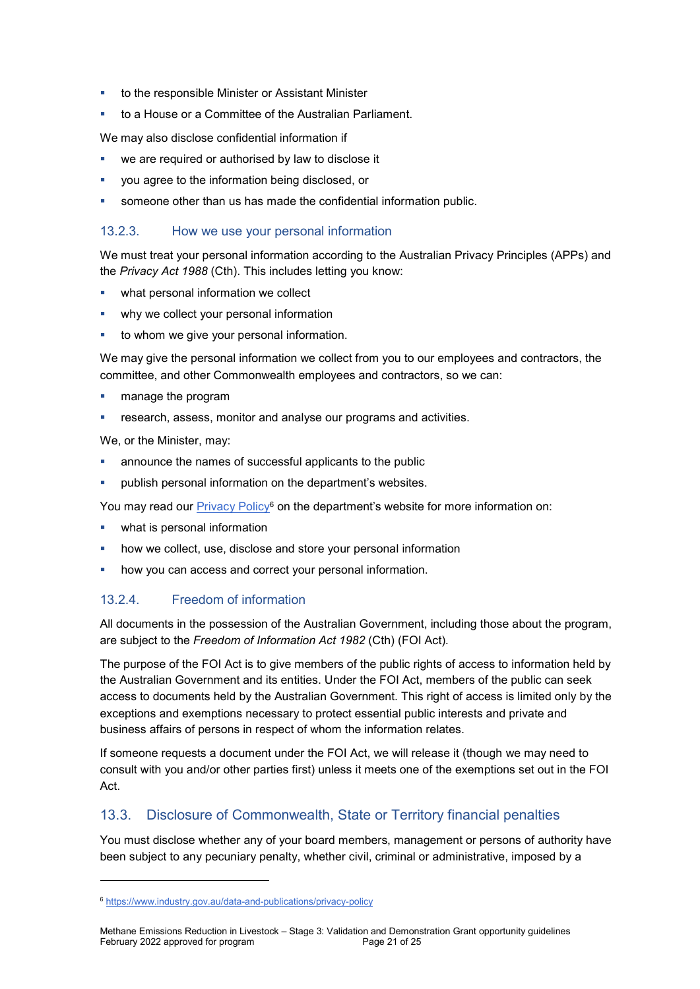- to the responsible Minister or Assistant Minister
- to a House or a Committee of the Australian Parliament.

We may also disclose confidential information if

- we are required or authorised by law to disclose it
- you agree to the information being disclosed, or
- someone other than us has made the confidential information public.

### 13.2.3. How we use your personal information

We must treat your personal information according to the Australian Privacy Principles (APPs) and the Privacy Act 1988 (Cth). This includes letting you know:

- **•** what personal information we collect
- why we collect your personal information
- to whom we give your personal information.

We may give the personal information we collect from you to our employees and contractors, the committee, and other Commonwealth employees and contractors, so we can:

- **n** manage the program
- research, assess, monitor and analyse our programs and activities.

We, or the Minister, may:

- announce the names of successful applicants to the public
- publish personal information on the department's websites.

You may read our **Privacy Policy<sup>6</sup> on the department's website for more information on:** 

- what is personal information
- how we collect, use, disclose and store your personal information
- how you can access and correct your personal information.

#### 13.2.4. Freedom of information

All documents in the possession of the Australian Government, including those about the program, are subject to the Freedom of Information Act 1982 (Cth) (FOI Act).

The purpose of the FOI Act is to give members of the public rights of access to information held by the Australian Government and its entities. Under the FOI Act, members of the public can seek access to documents held by the Australian Government. This right of access is limited only by the exceptions and exemptions necessary to protect essential public interests and private and business affairs of persons in respect of whom the information relates.

If someone requests a document under the FOI Act, we will release it (though we may need to consult with you and/or other parties first) unless it meets one of the exemptions set out in the FOI Act.

# 13.3. Disclosure of Commonwealth, State or Territory financial penalties

You must disclose whether any of your board members, management or persons of authority have been subject to any pecuniary penalty, whether civil, criminal or administrative, imposed by a

-

<sup>6</sup> https://www.industry.gov.au/data-and-publications/privacy-policy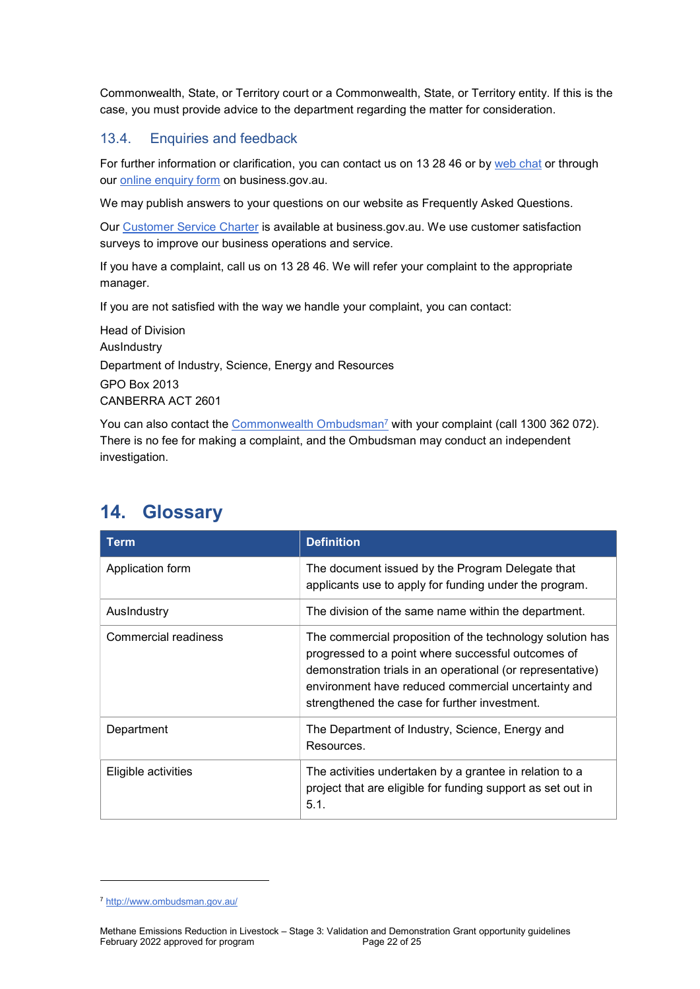Commonwealth, State, or Territory court or a Commonwealth, State, or Territory entity. If this is the case, you must provide advice to the department regarding the matter for consideration.

### 13.4. Enquiries and feedback

For further information or clarification, you can contact us on 13 28 46 or by web chat or through our online enquiry form on business.gov.au.

We may publish answers to your questions on our website as Frequently Asked Questions.

Our Customer Service Charter is available at business.gov.au. We use customer satisfaction surveys to improve our business operations and service.

If you have a complaint, call us on 13 28 46. We will refer your complaint to the appropriate manager.

If you are not satisfied with the way we handle your complaint, you can contact:

Head of Division AusIndustry Department of Industry, Science, Energy and Resources GPO Box 2013 CANBERRA ACT 2601

You can also contact the *Commonwealth Ombudsman<sup>7</sup>* with your complaint (call 1300 362 072). There is no fee for making a complaint, and the Ombudsman may conduct an independent investigation.

| <b>Term</b>          | <b>Definition</b>                                                                                                                                                                                                                                                                     |
|----------------------|---------------------------------------------------------------------------------------------------------------------------------------------------------------------------------------------------------------------------------------------------------------------------------------|
| Application form     | The document issued by the Program Delegate that<br>applicants use to apply for funding under the program.                                                                                                                                                                            |
| Auslndustry          | The division of the same name within the department.                                                                                                                                                                                                                                  |
| Commercial readiness | The commercial proposition of the technology solution has<br>progressed to a point where successful outcomes of<br>demonstration trials in an operational (or representative)<br>environment have reduced commercial uncertainty and<br>strengthened the case for further investment. |
| Department           | The Department of Industry, Science, Energy and<br>Resources.                                                                                                                                                                                                                         |
| Eligible activities  | The activities undertaken by a grantee in relation to a<br>project that are eligible for funding support as set out in<br>5.1.                                                                                                                                                        |

# 14. Glossary

-

<sup>7</sup> http://www.ombudsman.gov.au/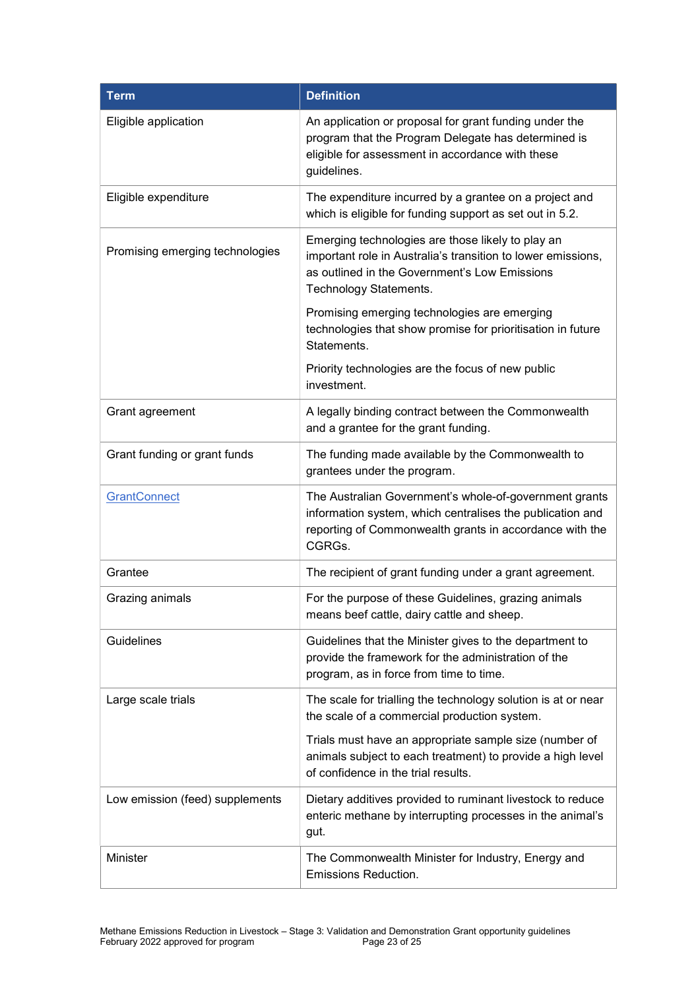| <b>Term</b>                     | <b>Definition</b>                                                                                                                                                                            |
|---------------------------------|----------------------------------------------------------------------------------------------------------------------------------------------------------------------------------------------|
| Eligible application            | An application or proposal for grant funding under the<br>program that the Program Delegate has determined is<br>eligible for assessment in accordance with these<br>guidelines.             |
| Eligible expenditure            | The expenditure incurred by a grantee on a project and<br>which is eligible for funding support as set out in 5.2.                                                                           |
| Promising emerging technologies | Emerging technologies are those likely to play an<br>important role in Australia's transition to lower emissions,<br>as outlined in the Government's Low Emissions<br>Technology Statements. |
|                                 | Promising emerging technologies are emerging<br>technologies that show promise for prioritisation in future<br>Statements.                                                                   |
|                                 | Priority technologies are the focus of new public<br>investment.                                                                                                                             |
| Grant agreement                 | A legally binding contract between the Commonwealth<br>and a grantee for the grant funding.                                                                                                  |
| Grant funding or grant funds    | The funding made available by the Commonwealth to<br>grantees under the program.                                                                                                             |
| GrantConnect                    | The Australian Government's whole-of-government grants<br>information system, which centralises the publication and<br>reporting of Commonwealth grants in accordance with the<br>CGRGs.     |
| Grantee                         | The recipient of grant funding under a grant agreement.                                                                                                                                      |
| Grazing animals                 | For the purpose of these Guidelines, grazing animals<br>means beef cattle, dairy cattle and sheep.                                                                                           |
| Guidelines                      | Guidelines that the Minister gives to the department to<br>provide the framework for the administration of the<br>program, as in force from time to time.                                    |
| Large scale trials              | The scale for trialling the technology solution is at or near<br>the scale of a commercial production system.                                                                                |
|                                 | Trials must have an appropriate sample size (number of<br>animals subject to each treatment) to provide a high level<br>of confidence in the trial results.                                  |
| Low emission (feed) supplements | Dietary additives provided to ruminant livestock to reduce<br>enteric methane by interrupting processes in the animal's<br>gut.                                                              |
| Minister                        | The Commonwealth Minister for Industry, Energy and<br>Emissions Reduction.                                                                                                                   |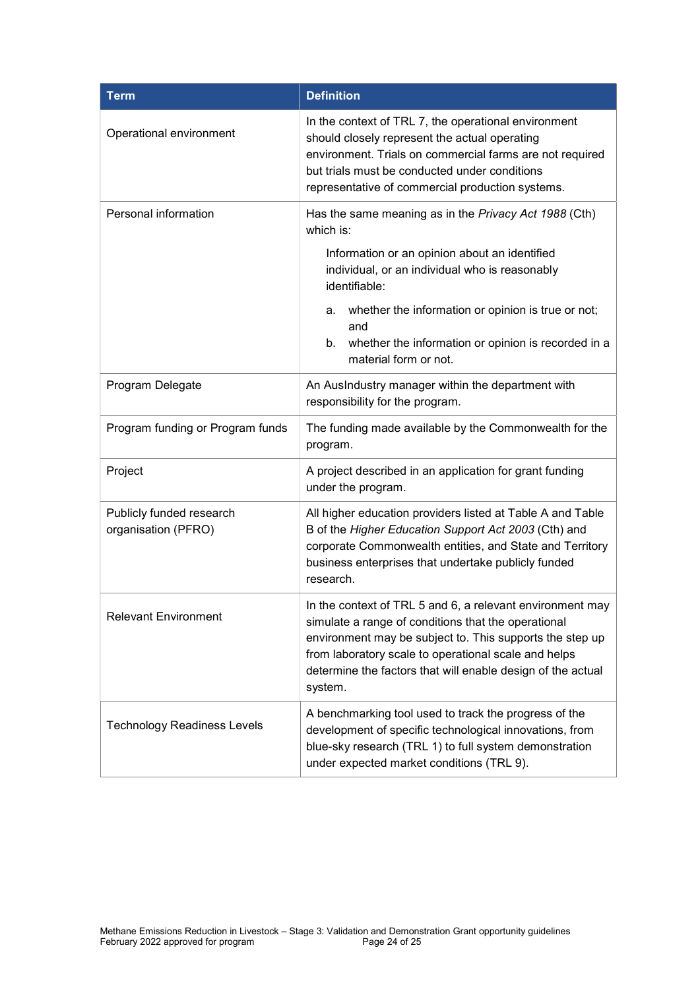| <b>Term</b>                                     | <b>Definition</b>                                                                                                                                                                                                                                                                                              |  |
|-------------------------------------------------|----------------------------------------------------------------------------------------------------------------------------------------------------------------------------------------------------------------------------------------------------------------------------------------------------------------|--|
| Operational environment                         | In the context of TRL 7, the operational environment<br>should closely represent the actual operating<br>environment. Trials on commercial farms are not required<br>but trials must be conducted under conditions<br>representative of commercial production systems.                                         |  |
| Personal information                            | Has the same meaning as in the Privacy Act 1988 (Cth)<br>which is:<br>Information or an opinion about an identified<br>individual, or an individual who is reasonably<br>identifiable:                                                                                                                         |  |
|                                                 | whether the information or opinion is true or not;<br>а.<br>and<br>whether the information or opinion is recorded in a<br>b.<br>material form or not.                                                                                                                                                          |  |
| Program Delegate                                | An AusIndustry manager within the department with<br>responsibility for the program.                                                                                                                                                                                                                           |  |
| Program funding or Program funds                | The funding made available by the Commonwealth for the<br>program.                                                                                                                                                                                                                                             |  |
| Project                                         | A project described in an application for grant funding<br>under the program.                                                                                                                                                                                                                                  |  |
| Publicly funded research<br>organisation (PFRO) | All higher education providers listed at Table A and Table<br>B of the Higher Education Support Act 2003 (Cth) and<br>corporate Commonwealth entities, and State and Territory<br>business enterprises that undertake publicly funded<br>research.                                                             |  |
| <b>Relevant Environment</b>                     | In the context of TRL 5 and 6, a relevant environment may<br>simulate a range of conditions that the operational<br>environment may be subject to. This supports the step up<br>from laboratory scale to operational scale and helps<br>determine the factors that will enable design of the actual<br>system. |  |
| <b>Technology Readiness Levels</b>              | A benchmarking tool used to track the progress of the<br>development of specific technological innovations, from<br>blue-sky research (TRL 1) to full system demonstration<br>under expected market conditions (TRL 9).                                                                                        |  |